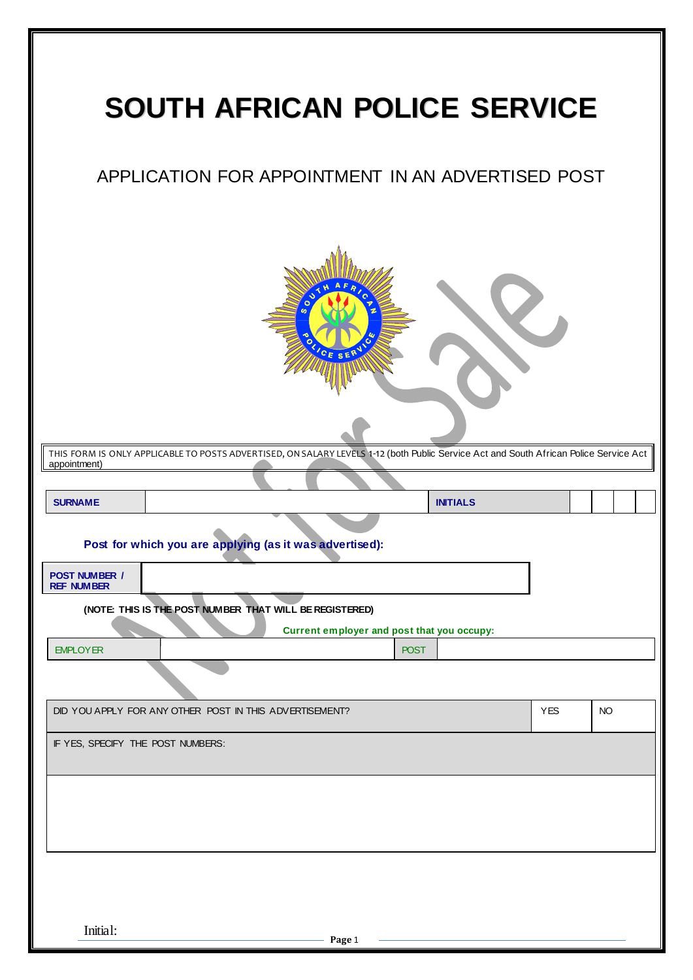|                                           | <b>SOUTH AFRICAN POLICE SERVICE</b>                                                                                                         |            |           |
|-------------------------------------------|---------------------------------------------------------------------------------------------------------------------------------------------|------------|-----------|
|                                           | APPLICATION FOR APPOINTMENT IN AN ADVERTISED POST                                                                                           |            |           |
|                                           | SE<br>THIS FORM IS ONLY APPLICABLE TO POSTS ADVERTISED, ON SALARY LEVELS 1-12 (both Public Service Act and South African Police Service Act |            |           |
| appointment)                              |                                                                                                                                             |            |           |
| <b>SURNAME</b>                            | <b>INITIALS</b>                                                                                                                             |            |           |
| <b>POST NUMBER /</b><br><b>REF NUMBER</b> | Post for which you are applying (as it was advertised):                                                                                     |            |           |
|                                           | (NOTE: THIS IS THE POST NUMBER THAT WILL BE REGISTERED)                                                                                     |            |           |
|                                           | Current employer and post that you occupy:                                                                                                  |            |           |
| <b>EMPLOYER</b>                           | <b>POST</b>                                                                                                                                 |            |           |
|                                           |                                                                                                                                             |            |           |
|                                           | DID YOU APPLY FOR ANY OTHER POST IN THIS ADVERTISEMENT?                                                                                     | <b>YES</b> | <b>NO</b> |
| IF YES, SPECIFY THE POST NUMBERS:         |                                                                                                                                             |            |           |
|                                           |                                                                                                                                             |            |           |
|                                           |                                                                                                                                             |            |           |
| Initial:                                  | Page 1                                                                                                                                      |            |           |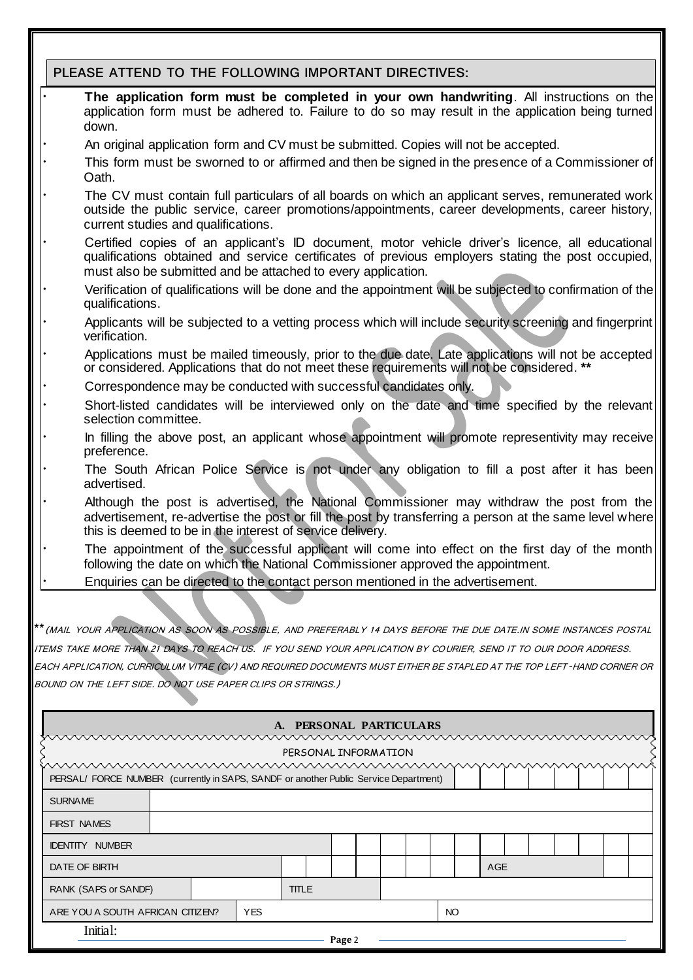## **PLEASE ATTEND TO THE FOLLOWING IMPORTANT DIRECTIVES:**

- The application form must be completed in your own handwriting. All instructions on the application form must be adhered to. Failure to do so may result in the application being turned down.
- · An original application form and CV must be submitted. Copies will not be accepted.
- This form must be sworned to or affirmed and then be signed in the presence of a Commissioner of Oath.
- The CV must contain full particulars of all boards on which an applicant serves, remunerated work outside the public service, career promotions/appointments, career developments, career history, current studies and qualifications.
- Certified copies of an applicant's ID document, motor vehicle driver's licence, all educational qualifications obtained and service certificates of previous employers stating the post occupied, must also be submitted and be attached to every application.
- Verification of qualifications will be done and the appointment will be subjected to confirmation of the qualifications.
- Applicants will be subjected to a vetting process which will include security screening and fingerprint verification.
- Applications must be mailed timeously, prior to the due date. Late applications will not be accepted or considered. Applications that do not meet these requirements will not be considered. **\*\***
- Correspondence may be conducted with successful candidates only.
- Short-listed candidates will be interviewed only on the date and time specified by the relevant selection committee.
- In filling the above post, an applicant whose appointment will promote representivity may receive preference.
- The South African Police Service is not under any obligation to fill a post after it has been advertised.
- Although the post is advertised, the National Commissioner may withdraw the post from the advertisement, re-advertise the post or fill the post by transferring a person at the same level where this is deemed to be in the interest of service delivery.
- The appointment of the successful applicant will come into effect on the first day of the month following the date on which the National Commissioner approved the appointment.
- · Enquiries can be directed to the contact person mentioned in the advertisement.

**\*\***(MAIL YOUR APPLICATION AS SOON AS POSSIBLE, AND PREFERABLY 14 DAYS BEFORE THE DUE DATE.IN SOME INSTANCES POSTAL

ITEMS TAKE MORE THAN 21 DAYS TO REACH US. IF YOU SEND YOUR APPLICATION BY COURIER, SEND IT TO OUR DOOR ADDRESS.

EACH APPLICATION, CURRICULUM VITAE (CV) AND REQUIRED DOCUMENTS MUST EITHER BE STAPLED AT THE TOP LEFT-HAND CORNER OR BOUND ON THE LEFT SIDE. DO NOT USE PAPER CLIPS OR STRINGS.)

| A. PERSONAL PARTICULARS                                                              |                                                |  |  |              |  |  |  |  |  |     |  |     |  |  |  |  |
|--------------------------------------------------------------------------------------|------------------------------------------------|--|--|--------------|--|--|--|--|--|-----|--|-----|--|--|--|--|
| www.www.www.www.www.www.www.www.w<br>wwww                                            |                                                |  |  |              |  |  |  |  |  |     |  |     |  |  |  |  |
| PERSONAL INFORMATION                                                                 |                                                |  |  |              |  |  |  |  |  |     |  |     |  |  |  |  |
| <u>mmmmmmmmmmmmmmmmmmm</u> mmmmmmm                                                   |                                                |  |  |              |  |  |  |  |  |     |  |     |  |  |  |  |
| PERSAL/ FORCE NUMBER (currently in SAPS, SANDF or another Public Service Department) |                                                |  |  |              |  |  |  |  |  |     |  |     |  |  |  |  |
| <b>SURNAME</b>                                                                       |                                                |  |  |              |  |  |  |  |  |     |  |     |  |  |  |  |
| <b>FIRST NAMES</b>                                                                   |                                                |  |  |              |  |  |  |  |  |     |  |     |  |  |  |  |
| <b>IDENTITY NUMBER</b>                                                               |                                                |  |  |              |  |  |  |  |  |     |  |     |  |  |  |  |
| DATE OF BIRTH                                                                        |                                                |  |  |              |  |  |  |  |  |     |  | AGE |  |  |  |  |
| RANK (SAPS or SANDF)                                                                 |                                                |  |  | <b>TITLE</b> |  |  |  |  |  |     |  |     |  |  |  |  |
|                                                                                      | <b>YES</b><br>ARE YOU A SOUTH AFRICAN CITIZEN? |  |  |              |  |  |  |  |  | NO. |  |     |  |  |  |  |
| Initial:<br>Page 2                                                                   |                                                |  |  |              |  |  |  |  |  |     |  |     |  |  |  |  |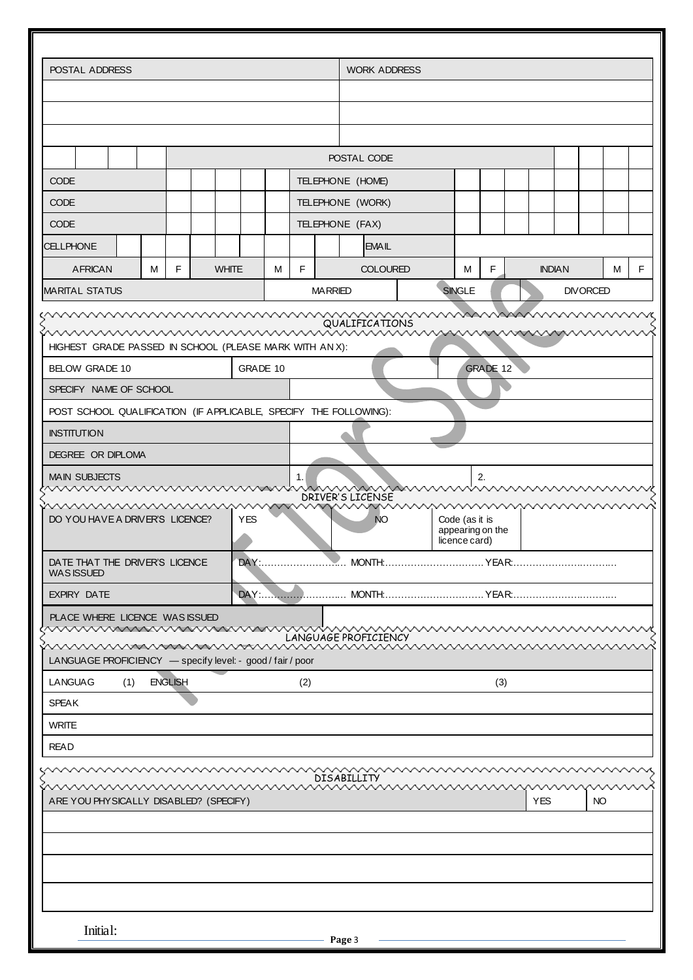| POSTAL ADDRESS                                                                                           |   |                |  |              |            |   | <b>WORK ADDRESS</b> |                  |            |                                   |                 |  |               |  |                 |   |   |
|----------------------------------------------------------------------------------------------------------|---|----------------|--|--------------|------------|---|---------------------|------------------|------------|-----------------------------------|-----------------|--|---------------|--|-----------------|---|---|
|                                                                                                          |   |                |  |              |            |   |                     |                  |            |                                   |                 |  |               |  |                 |   |   |
|                                                                                                          |   |                |  |              |            |   |                     |                  |            |                                   |                 |  |               |  |                 |   |   |
|                                                                                                          |   |                |  |              |            |   |                     |                  |            |                                   |                 |  |               |  |                 |   |   |
|                                                                                                          |   |                |  |              |            |   |                     | POSTAL CODE      |            |                                   |                 |  |               |  |                 |   |   |
| <b>CODE</b>                                                                                              |   |                |  |              |            |   | TELEPHONE (HOME)    |                  |            |                                   |                 |  |               |  |                 |   |   |
| <b>CODE</b>                                                                                              |   |                |  |              |            |   |                     | TELEPHONE (WORK) |            |                                   |                 |  |               |  |                 |   |   |
| <b>CODE</b>                                                                                              |   |                |  |              |            |   |                     | TELEPHONE (FAX)  |            |                                   |                 |  |               |  |                 |   |   |
| <b>CELLPHONE</b>                                                                                         |   |                |  |              |            |   |                     | <b>EMAIL</b>     |            |                                   |                 |  |               |  |                 |   |   |
| <b>AFRICAN</b>                                                                                           | м | F              |  | <b>WHITE</b> |            | м | F                   | <b>COLOURED</b>  |            | м                                 | F               |  | <b>INDIAN</b> |  |                 | м | F |
| <b>MARITAL STATUS</b>                                                                                    |   |                |  |              |            |   | <b>MARRIED</b>      |                  |            | <b>SINGLE</b>                     |                 |  |               |  | <b>DIVORCED</b> |   |   |
| www.www.www.www.www.www.w                                                                                |   |                |  |              |            |   |                     | QUALIFICATIONS   |            | www.www.ww                        |                 |  |               |  |                 |   |   |
| www.www.www.www.www.www.www.www.www.                                                                     |   |                |  |              |            |   |                     |                  |            |                                   |                 |  |               |  |                 |   |   |
| HIGHEST GRADE PASSED IN SCHOOL (PLEASE MARK WITH AN X):<br><b>BELOW GRADE 10</b>                         |   |                |  |              | GRADE 10   |   |                     |                  |            |                                   | <b>GRADE 12</b> |  |               |  |                 |   |   |
| SPECIFY NAME OF SCHOOL                                                                                   |   |                |  |              |            |   |                     |                  |            |                                   |                 |  |               |  |                 |   |   |
| POST SCHOOL QUALIFICATION (IF APPLICABLE, SPECIFY THE FOLLOWING):                                        |   |                |  |              |            |   |                     |                  |            |                                   |                 |  |               |  |                 |   |   |
| <b>INSTITUTION</b>                                                                                       |   |                |  |              |            |   |                     |                  |            |                                   |                 |  |               |  |                 |   |   |
| DEGREE OR DIPLOMA                                                                                        |   |                |  |              |            |   |                     |                  |            |                                   |                 |  |               |  |                 |   |   |
| <b>MAIN SUBJECTS</b>                                                                                     |   |                |  |              |            |   | $\mathbf{1}$ .      |                  |            |                                   | 2.              |  |               |  |                 |   |   |
| <u>MWWWWWWWWWWWWW</u>                                                                                    |   |                |  |              |            |   |                     | DRIVER'S LICENSE | www.www.ww |                                   | wwwwww          |  |               |  |                 |   |   |
| wwwwwwwwwww<br>DO YOU HAVE A DRIVER'S LICENCE?                                                           |   |                |  |              | <b>YES</b> |   |                     | NO               |            | Code (as it is                    | wwww            |  |               |  |                 |   |   |
|                                                                                                          |   |                |  |              |            |   |                     |                  |            | appearing on the<br>licence card) |                 |  |               |  |                 |   |   |
| DATE THAT THE DRIVER'S LICENCE                                                                           |   |                |  |              |            |   |                     |                  |            |                                   |                 |  |               |  |                 |   |   |
| <b>WAS ISSUED</b><br><b>EXPIRY DATE</b>                                                                  |   |                |  |              |            |   |                     |                  |            |                                   |                 |  |               |  |                 |   |   |
|                                                                                                          |   |                |  |              |            |   |                     |                  |            |                                   |                 |  |               |  |                 |   |   |
| PLACE WHERE LICENCE WAS ISSUED                                                                           |   |                |  |              |            |   |                     |                  |            |                                   |                 |  |               |  |                 |   |   |
| <u>www.www.www.wew.www.www.www.www.</u> ww<br>LANGUAGE PROFICIENCY - specify level: - good / fair / poor |   |                |  |              |            |   |                     |                  |            |                                   |                 |  |               |  |                 |   |   |
| <b>LANGUAG</b><br>(1)                                                                                    |   | <b>ENGLISH</b> |  |              |            |   | (2)                 |                  |            |                                   | (3)             |  |               |  |                 |   |   |
| <b>SPEAK</b>                                                                                             |   |                |  |              |            |   |                     |                  |            |                                   |                 |  |               |  |                 |   |   |
| <b>WRITE</b>                                                                                             |   |                |  |              |            |   |                     |                  |            |                                   |                 |  |               |  |                 |   |   |
| <b>READ</b>                                                                                              |   |                |  |              |            |   |                     |                  |            |                                   |                 |  |               |  |                 |   |   |
|                                                                                                          |   |                |  |              |            |   |                     |                  | wwwwwwwww  |                                   |                 |  |               |  |                 |   |   |
| <u>www.www.www.www.www.www.www</u>                                                                       |   |                |  |              |            |   |                     | DISABILLITY      |            |                                   |                 |  |               |  |                 |   |   |
| ARE YOU PHYSICALLY DISABLED? (SPECIFY)                                                                   |   |                |  |              |            |   |                     |                  |            |                                   |                 |  | YES           |  | NO              |   |   |
|                                                                                                          |   |                |  |              |            |   |                     |                  |            |                                   |                 |  |               |  |                 |   |   |
|                                                                                                          |   |                |  |              |            |   |                     |                  |            |                                   |                 |  |               |  |                 |   |   |
|                                                                                                          |   |                |  |              |            |   |                     |                  |            |                                   |                 |  |               |  |                 |   |   |
|                                                                                                          |   |                |  |              |            |   |                     |                  |            |                                   |                 |  |               |  |                 |   |   |
|                                                                                                          |   |                |  |              |            |   |                     |                  |            |                                   |                 |  |               |  |                 |   |   |
| Initial:                                                                                                 |   |                |  |              |            |   |                     | Page 3           |            |                                   |                 |  |               |  |                 |   |   |
|                                                                                                          |   |                |  |              |            |   |                     |                  |            |                                   |                 |  |               |  |                 |   |   |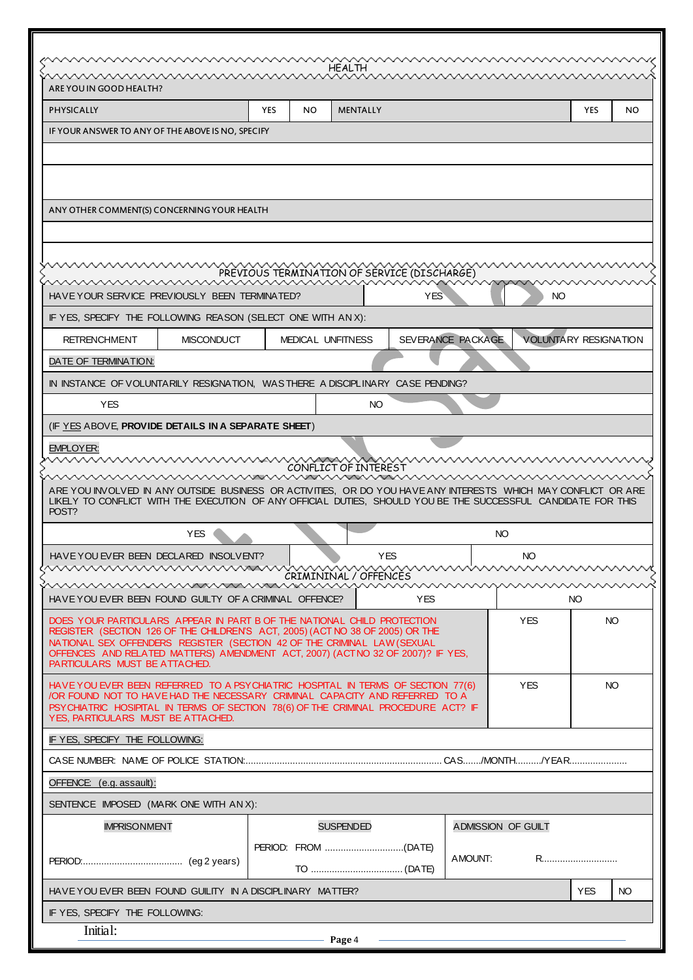|                                                                                                                                                                                                                                                                                                                                                         |            |           |                                             |            |                   | www.www.www.www.www.www.www.www.www.www.w |                        |     |
|---------------------------------------------------------------------------------------------------------------------------------------------------------------------------------------------------------------------------------------------------------------------------------------------------------------------------------------------------------|------------|-----------|---------------------------------------------|------------|-------------------|-------------------------------------------|------------------------|-----|
|                                                                                                                                                                                                                                                                                                                                                         |            |           | HEALTH                                      |            |                   |                                           |                        |     |
| ARE YOU IN GOOD HEALTH?<br><b>PHYSICALLY</b>                                                                                                                                                                                                                                                                                                            | <b>YES</b> | <b>NO</b> | <b>MENTALLY</b>                             |            |                   |                                           | <b>YES</b>             | NO. |
|                                                                                                                                                                                                                                                                                                                                                         |            |           |                                             |            |                   |                                           |                        |     |
| IF YOUR ANSWER TO ANY OF THE ABOVE IS NO, SPECIFY                                                                                                                                                                                                                                                                                                       |            |           |                                             |            |                   |                                           |                        |     |
| ANY OTHER COMMENT(S) CONCERNING YOUR HEALTH                                                                                                                                                                                                                                                                                                             |            |           |                                             |            |                   |                                           |                        |     |
| www.www.www.www.www.www.www.ww<br><u>MMMMMMMMMMMMMMMMMMMMMMMM</u><br>HAVE YOUR SERVICE PREVIOUSLY BEEN TERMINATED?                                                                                                                                                                                                                                      |            |           | PREVIOUS TERMINATION OF SERVICE (DISCHARGE) | <b>YES</b> |                   | ww                                        | <u>WWWWWWWW</u><br>NO. |     |
| IF YES, SPECIFY THE FOLLOWING REASON (SELECT ONE WITH ANX):                                                                                                                                                                                                                                                                                             |            |           |                                             |            |                   |                                           |                        |     |
| <b>RETRENCHMENT</b><br><b>MISCONDUCT</b>                                                                                                                                                                                                                                                                                                                |            |           | <b>MEDICAL UNFITNESS</b>                    |            | SEVERANCE PACKAGE |                                           | VOLUNTÁRY RESIGNATION  |     |
| DATE OF TERMINATION:                                                                                                                                                                                                                                                                                                                                    |            |           |                                             |            |                   |                                           |                        |     |
| IN INSTANCE OF VOLUNTARILY RESIGNATION, WAS THERE A DISCIPLINARY CASE PENDING?                                                                                                                                                                                                                                                                          |            |           |                                             |            |                   |                                           |                        |     |
| <b>YES</b>                                                                                                                                                                                                                                                                                                                                              |            |           | NO.                                         |            |                   |                                           |                        |     |
| (IF YES ABOVE, PROVIDE DETAILS IN A SEPARATE SHEET)                                                                                                                                                                                                                                                                                                     |            |           |                                             |            |                   |                                           |                        |     |
| <b>EMPLOYER:</b><br>ARE YOU INVOLVED IN ANY OUTSIDE BUSINESS OR ACTIVITIES, OR DO YOU HAVE ANY INTERESTS WHICH MAY CONFLICT OR ARE<br>LIKELY TO CONFLICT WITH THE EXECUTION OF ANY OFFICIAL DUTIES. SHOULD YOU BE THE SUCCESSFUL CANDIDATE FOR THIS                                                                                                     |            |           | CONFLICT OF INTEREST                        |            |                   |                                           |                        |     |
| POST?<br><b>YES</b>                                                                                                                                                                                                                                                                                                                                     |            |           |                                             |            |                   |                                           |                        |     |
|                                                                                                                                                                                                                                                                                                                                                         |            |           |                                             |            |                   | NO.                                       |                        |     |
| HAVE YOU EVER BEEN DECLARED INSOLVENT?                                                                                                                                                                                                                                                                                                                  |            |           | <b>YES</b>                                  |            |                   | NO                                        |                        |     |
|                                                                                                                                                                                                                                                                                                                                                         |            |           | CRIMININAL / OFFENCES                       |            |                   |                                           |                        |     |
| <u>uuruunnummuunnummuunnummuunnummuunnummuu</u><br><u>www.www.www.www.www.www.www.www</u><br>HAVE YOU EVER BEEN FOUND GUILTY OF A CRIMINAL OFFENCE?                                                                                                                                                                                                     |            |           |                                             | <b>YES</b> |                   |                                           | NO.                    |     |
| DOES YOUR PARTICULARS APPEAR IN PART B OF THE NATIONAL CHILD PROTECTION<br>REGISTER (SECTION 126 OF THE CHILDREN'S ACT, 2005) (ACT NO 38 OF 2005) OR THE<br>NATIONAL SEX OFFENDERS REGISTER (SECTION 42 OF THE CRIMINAL LAW (SEXUAL<br>OFFENCES AND RELATED MATTERS) AMENDMENT ACT, 2007) (ACT NO 32 OF 2007)? IF YES,<br>PARTICULARS MUST BE ATTACHED. |            |           |                                             |            |                   | <b>YES</b>                                |                        | NO. |
| HAVE YOU EVER BEEN REFERRED TO A PSYCHIATRIC HOSPITAL IN TERMS OF SECTION 77(6)<br>/OR FOUND NOT TO HAVE HAD THE NECESSARY CRIMINAL CAPACITY AND REFERRED TO A<br>PSYCHIATRIC HOSIPITAL IN TERMS OF SECTION 78(6) OF THE CRIMINAL PROCEDURE ACT? IF<br>YES, PARTICULARS MUST BE ATTACHED.                                                               |            |           |                                             |            |                   | <b>YES</b>                                |                        | NO. |
| IF YES, SPECIFY THE FOLLOWING:                                                                                                                                                                                                                                                                                                                          |            |           |                                             |            |                   |                                           |                        |     |
|                                                                                                                                                                                                                                                                                                                                                         |            |           |                                             |            |                   |                                           |                        |     |
| OFFENCE: (e.g. assault):                                                                                                                                                                                                                                                                                                                                |            |           |                                             |            |                   |                                           |                        |     |
| SENTENCE IMPOSED (MARK ONE WITH AN X):                                                                                                                                                                                                                                                                                                                  |            |           |                                             |            |                   |                                           |                        |     |
| <b>IMPRISONMENT</b>                                                                                                                                                                                                                                                                                                                                     |            |           | <b>SUSPENDED</b>                            |            |                   | <b>ADMISSION OF GUILT</b>                 |                        |     |
|                                                                                                                                                                                                                                                                                                                                                         |            |           |                                             |            | AMOUNT:           |                                           | R                      |     |
| HAVE YOU EVER BEEN FOUND GUILITY IN A DISCIPLINARY MATTER?                                                                                                                                                                                                                                                                                              |            |           |                                             |            |                   |                                           | <b>YES</b>             | NO. |
| IF YES, SPECIFY THE FOLLOWING:                                                                                                                                                                                                                                                                                                                          |            |           |                                             |            |                   |                                           |                        |     |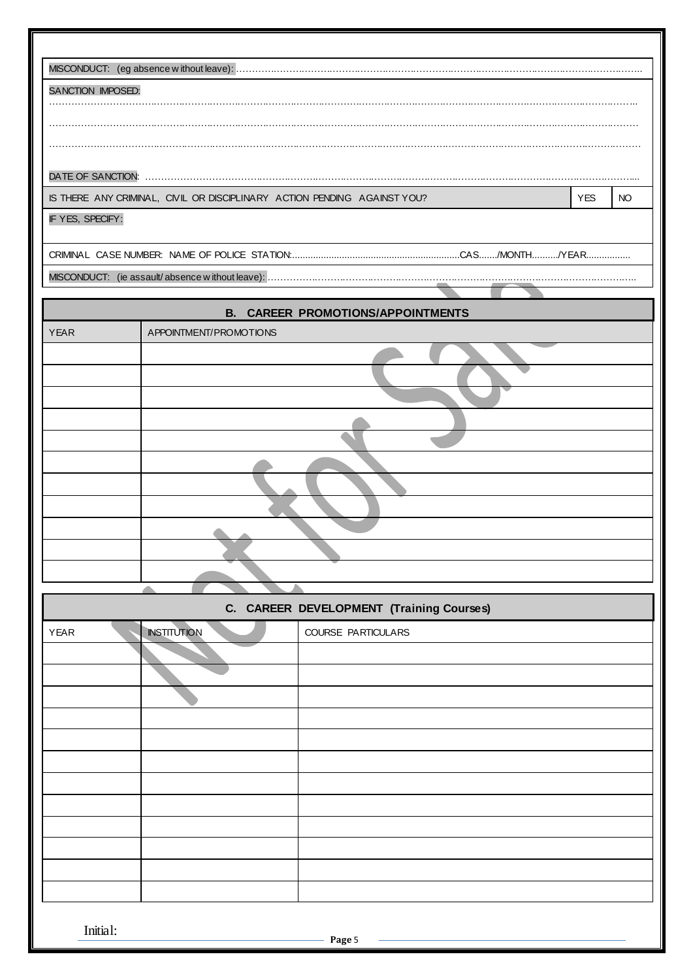| SANCTION IMPOSED: |                                                                          |                                          |            |           |
|-------------------|--------------------------------------------------------------------------|------------------------------------------|------------|-----------|
|                   |                                                                          |                                          |            |           |
|                   |                                                                          |                                          |            |           |
|                   |                                                                          |                                          |            |           |
|                   |                                                                          |                                          |            |           |
|                   | IS THERE ANY CRIMINAL, CIVIL OR DISCIPLINARY ACTION PENDING AGAINST YOU? |                                          | <b>YES</b> | <b>NO</b> |
| IF YES, SPECIFY:  |                                                                          |                                          |            |           |
|                   |                                                                          |                                          |            |           |
|                   |                                                                          |                                          |            |           |
|                   |                                                                          |                                          |            |           |
| <b>YEAR</b>       | APPOINTMENT/PROMOTIONS                                                   | <b>B. CAREER PROMOTIONS/APPOINTMENTS</b> |            |           |
|                   |                                                                          |                                          |            |           |
|                   |                                                                          |                                          |            |           |
|                   |                                                                          |                                          |            |           |
|                   |                                                                          |                                          |            |           |
|                   |                                                                          |                                          |            |           |
|                   |                                                                          |                                          |            |           |
|                   |                                                                          |                                          |            |           |
|                   |                                                                          |                                          |            |           |
|                   |                                                                          |                                          |            |           |
|                   |                                                                          |                                          |            |           |
|                   |                                                                          |                                          |            |           |
|                   |                                                                          | C. CAREER DEVELOPMENT (Training Courses) |            |           |
|                   | <b>INSTITUTION</b>                                                       | COURSE PARTICULARS                       |            |           |
| <b>YEAR</b>       |                                                                          |                                          |            |           |
|                   |                                                                          |                                          |            |           |
|                   |                                                                          |                                          |            |           |
|                   |                                                                          |                                          |            |           |
|                   |                                                                          |                                          |            |           |
|                   |                                                                          |                                          |            |           |
|                   |                                                                          |                                          |            |           |
|                   |                                                                          |                                          |            |           |
|                   |                                                                          |                                          |            |           |
|                   |                                                                          |                                          |            |           |
|                   |                                                                          |                                          |            |           |
|                   |                                                                          |                                          |            |           |
|                   |                                                                          |                                          |            |           |
| Initial:          |                                                                          | Page 5                                   |            |           |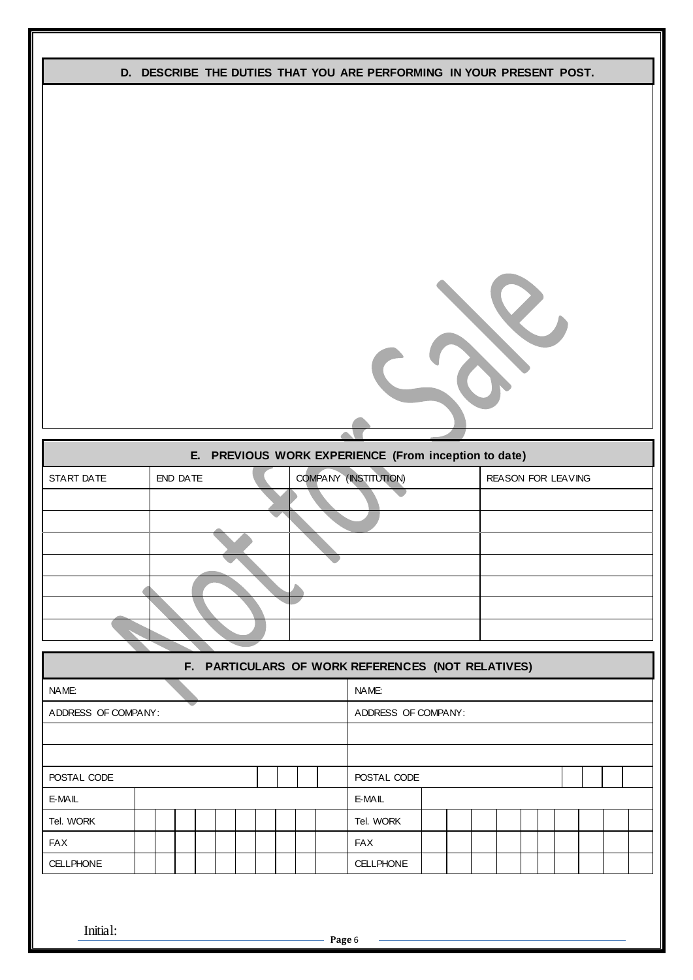|                     |          |                                                      | D. DESCRIBE THE DUTIES THAT YOU ARE PERFORMING IN YOUR PRESENT POST. |
|---------------------|----------|------------------------------------------------------|----------------------------------------------------------------------|
|                     |          |                                                      |                                                                      |
|                     |          |                                                      |                                                                      |
|                     |          |                                                      |                                                                      |
|                     |          |                                                      |                                                                      |
|                     |          |                                                      |                                                                      |
|                     |          |                                                      |                                                                      |
|                     |          |                                                      |                                                                      |
|                     |          |                                                      |                                                                      |
|                     |          |                                                      |                                                                      |
|                     |          |                                                      |                                                                      |
|                     |          |                                                      |                                                                      |
|                     |          |                                                      |                                                                      |
|                     |          |                                                      |                                                                      |
|                     |          |                                                      |                                                                      |
|                     |          |                                                      |                                                                      |
|                     |          |                                                      |                                                                      |
|                     |          | E. PREVIOUS WORK EXPERIENCE (From inception to date) |                                                                      |
| START DATE          | END DATE | COMPANY (INSTITUTION)                                | REASON FOR LEAVING                                                   |
|                     |          |                                                      |                                                                      |
|                     |          |                                                      |                                                                      |
|                     |          |                                                      |                                                                      |
|                     |          |                                                      |                                                                      |
|                     |          |                                                      |                                                                      |
|                     |          |                                                      |                                                                      |
|                     |          |                                                      |                                                                      |
|                     |          |                                                      |                                                                      |
|                     |          |                                                      |                                                                      |
|                     |          | F. PARTICULARS OF WORK REFERENCES (NOT RELATIVES)    |                                                                      |
| NAME:               |          | NAME:                                                |                                                                      |
| ADDRESS OF COMPANY: |          | ADDRESS OF COMPANY:                                  |                                                                      |
|                     |          |                                                      |                                                                      |
|                     |          |                                                      |                                                                      |
| POSTAL CODE         |          | POSTAL CODE                                          |                                                                      |
| E-MAIL              |          | E-MAIL                                               |                                                                      |
| Tel. WORK           |          | Tel. WORK                                            |                                                                      |
| <b>FAX</b>          |          | <b>FAX</b>                                           |                                                                      |